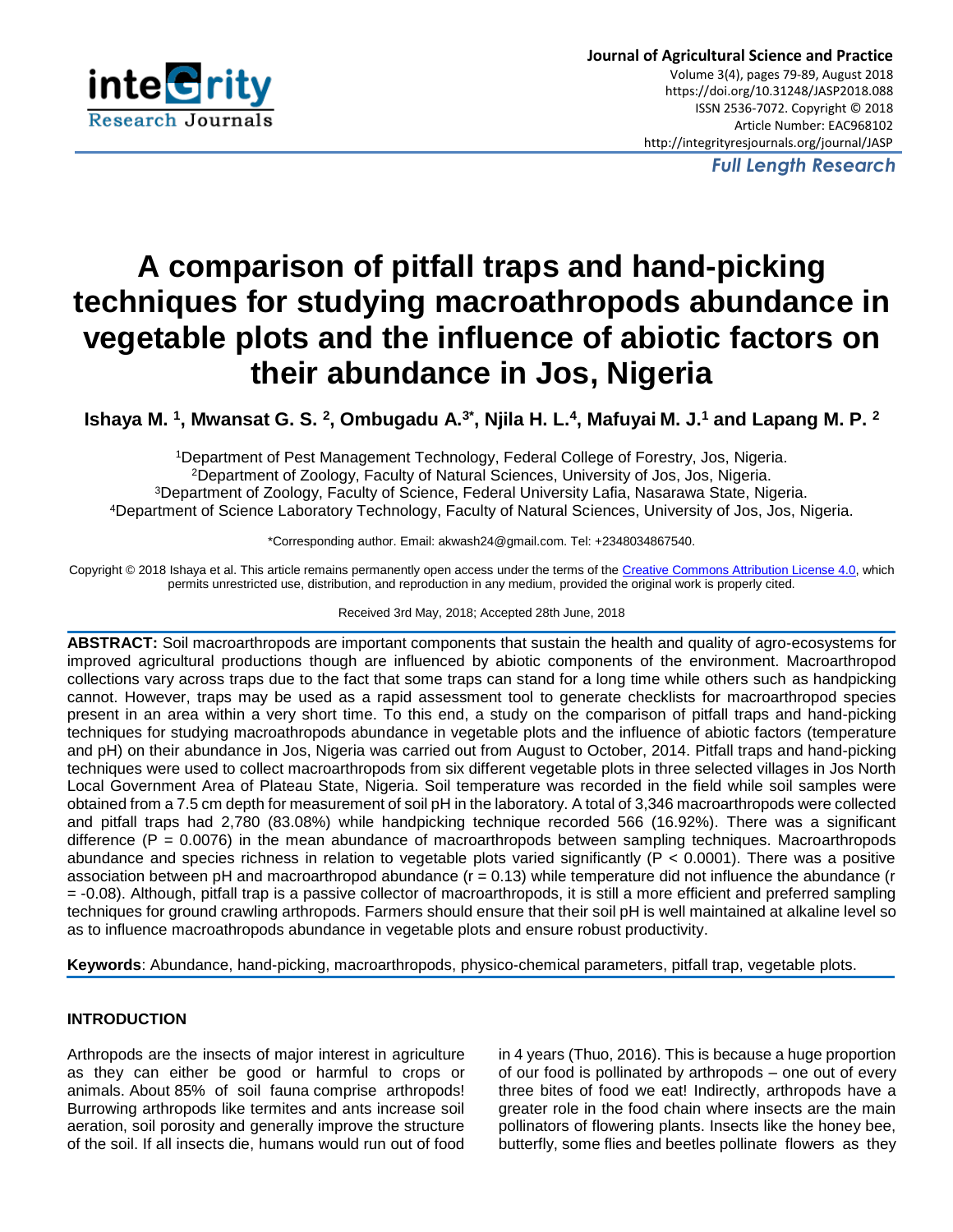

*Full Length Research*

# **A comparison of pitfall traps and hand-picking techniques for studying macroathropods abundance in vegetable plots and the influence of abiotic factors on their abundance in Jos, Nigeria**

**Ishaya M. <sup>1</sup> , Mwansat G. S. <sup>2</sup> , Ombugadu A.3\* , Njila H. L.<sup>4</sup> , Mafuyai M. J.<sup>1</sup> and Lapang M. P. <sup>2</sup>**

Department of Pest Management Technology, Federal College of Forestry, Jos, Nigeria. Department of Zoology, Faculty of Natural Sciences, University of Jos, Jos, Nigeria. Department of Zoology, Faculty of Science, Federal University Lafia, Nasarawa State, Nigeria. Department of Science Laboratory Technology, Faculty of Natural Sciences, University of Jos, Jos, Nigeria.

\*Corresponding author. Email: akwash24@gmail.com. Tel: +2348034867540.

Copyright © 2018 Ishaya et al. This article remains permanently open access under the terms of the [Creative Commons Attribution License 4.0,](http://creativecommons.org/licenses/by/4.0/) which permits unrestricted use, distribution, and reproduction in any medium, provided the original work is properly cited.

Received 3rd May, 2018; Accepted 28th June, 2018

**ABSTRACT:** Soil macroarthropods are important components that sustain the health and quality of agro-ecosystems for improved agricultural productions though are influenced by abiotic components of the environment. Macroarthropod collections vary across traps due to the fact that some traps can stand for a long time while others such as handpicking cannot. However, traps may be used as a rapid assessment tool to generate checklists for macroarthropod species present in an area within a very short time. To this end, a study on the comparison of pitfall traps and hand-picking techniques for studying macroathropods abundance in vegetable plots and the influence of abiotic factors (temperature and pH) on their abundance in Jos, Nigeria was carried out from August to October, 2014. Pitfall traps and hand-picking techniques were used to collect macroarthropods from six different vegetable plots in three selected villages in Jos North Local Government Area of Plateau State, Nigeria. Soil temperature was recorded in the field while soil samples were obtained from a 7.5 cm depth for measurement of soil pH in the laboratory. A total of 3,346 macroarthropods were collected and pitfall traps had 2,780 (83.08%) while handpicking technique recorded 566 (16.92%). There was a significant difference (P = 0.0076) in the mean abundance of macroarthropods between sampling techniques. Macroarthropods abundance and species richness in relation to vegetable plots varied significantly ( $P < 0.0001$ ). There was a positive association between pH and macroarthropod abundance  $(r = 0.13)$  while temperature did not influence the abundance (r = -0.08). Although, pitfall trap is a passive collector of macroarthropods, it is still a more efficient and preferred sampling techniques for ground crawling arthropods. Farmers should ensure that their soil pH is well maintained at alkaline level so as to influence macroathropods abundance in vegetable plots and ensure robust productivity.

**Keywords**: Abundance, hand-picking, macroarthropods, physico-chemical parameters, pitfall trap, vegetable plots.

# **INTRODUCTION**

Arthropods are the insects of major interest in agriculture as they can either be good or harmful to crops or animals. About [85% of soil fauna](http://www.mdpi.com/2077-0472/3/4/629) comprise arthropods! Burrowing arthropods like termites and ants increase soil aeration, soil porosity and generally improve the structure of the soil. If all insects die, humans would run out of food in 4 years (Thuo, 2016). This is because a huge proportion of our food is pollinated by arthropods – one out of every three bites of food we eat! Indirectly, arthropods have a greater role in the food chain where insects are the main pollinators of flowering plants. Insects like the honey bee, butterfly, some flies and beetles pollinate flowers as they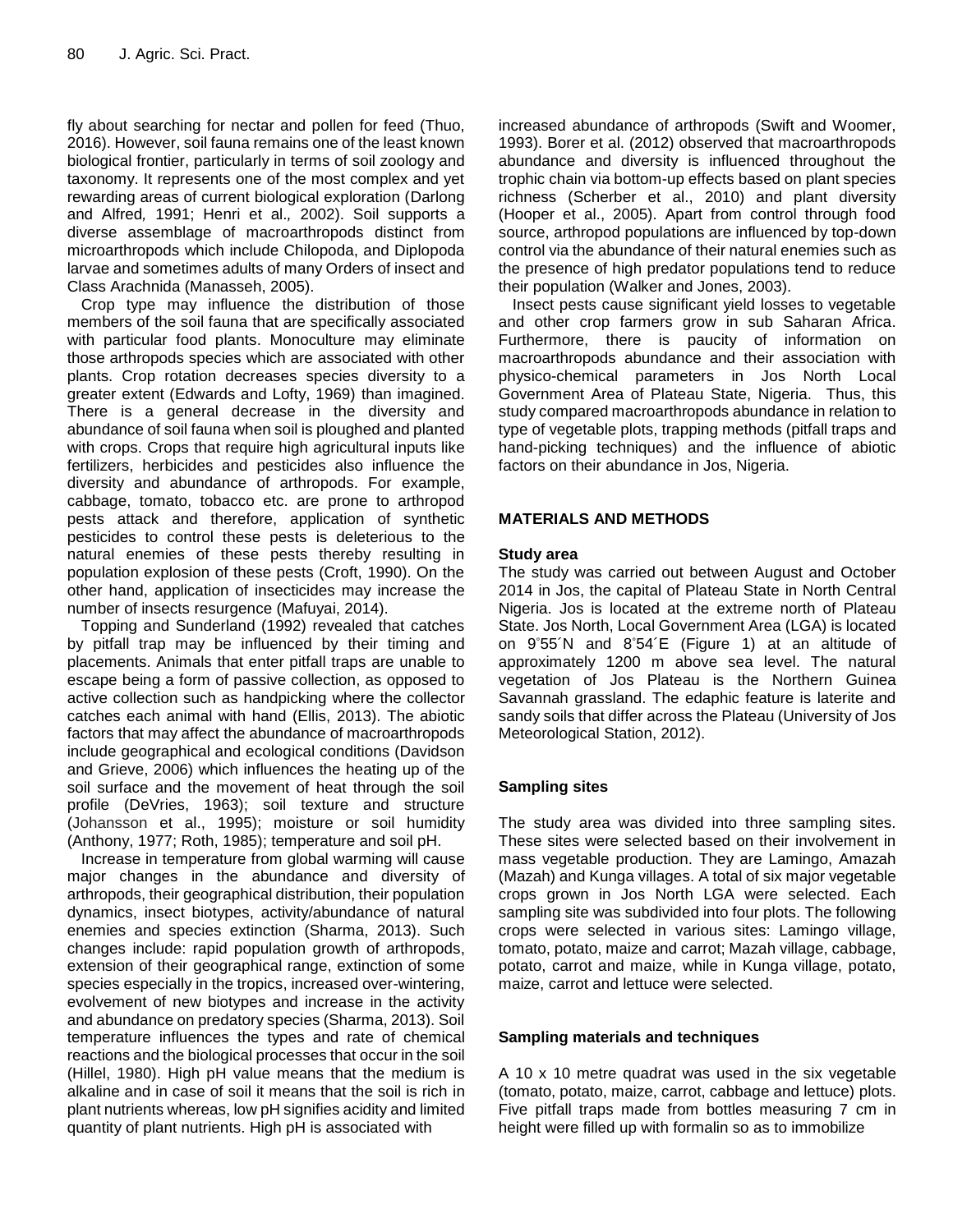fly about searching for nectar and pollen for feed (Thuo, 2016). However, soil fauna remains one of the least known biological frontier, particularly in terms of soil zoology and taxonomy. It represents one of the most complex and yet rewarding areas of current biological exploration (Darlong and Alfred*,* 1991; Henri et al.*,* 2002). Soil supports a diverse assemblage of macroarthropods distinct from microarthropods which include Chilopoda, and Diplopoda larvae and sometimes adults of many Orders of insect and Class Arachnida (Manasseh, 2005).

Crop type may influence the distribution of those members of the soil fauna that are specifically associated with particular food plants. Monoculture may eliminate those arthropods species which are associated with other plants. Crop rotation decreases species diversity to a greater extent (Edwards and Lofty, 1969) than imagined. There is a general decrease in the diversity and abundance of soil fauna when soil is ploughed and planted with crops. Crops that require high agricultural inputs like fertilizers, herbicides and pesticides also influence the diversity and abundance of arthropods. For example, cabbage, tomato, tobacco etc. are prone to arthropod pests attack and therefore, application of synthetic pesticides to control these pests is deleterious to the natural enemies of these pests thereby resulting in population explosion of these pests (Croft, 1990). On the other hand, application of insecticides may increase the number of insects resurgence (Mafuyai, 2014).

Topping and Sunderland (1992) revealed that catches by pitfall trap may be influenced by their timing and placements. Animals that enter pitfall traps are unable to escape being a form of passive collection, as opposed to active collection such as handpicking where the collector catches each animal with hand (Ellis, 2013). The abiotic factors that may affect the abundance of macroarthropods include geographical and ecological conditions (Davidson and Grieve, 2006) which influences the heating up of the soil surface and the movement of heat through the soil profile (DeVries, 1963); soil texture and structure (Johansson et al., 1995); moisture or soil humidity (Anthony, 1977; Roth, 1985); temperature and soil pH.

Increase in temperature from global warming will cause major changes in the abundance and diversity of arthropods, their geographical distribution, their population dynamics, insect biotypes, activity/abundance of natural enemies and species extinction (Sharma, 2013). Such changes include: rapid population growth of arthropods, extension of their geographical range, extinction of some species especially in the tropics, increased over-wintering, evolvement of new biotypes and increase in the activity and abundance on predatory species (Sharma, 2013). Soil temperature influences the types and rate of chemical reactions and the biological processes that occur in the soil (Hillel, 1980). High pH value means that the medium is alkaline and in case of soil it means that the soil is rich in plant nutrients whereas, low pH signifies acidity and limited quantity of plant nutrients. High pH is associated with

increased abundance of arthropods (Swift and Woomer, 1993). Borer et al. (2012) observed that macroarthropods abundance and diversity is influenced throughout the trophic chain via bottom-up effects based on plant species richness (Scherber et al., 2010) and plant diversity (Hooper et al., 2005). Apart from control through food source, arthropod populations are influenced by top-down control via the abundance of their natural enemies such as the presence of high predator populations tend to reduce their population (Walker and Jones, 2003).

Insect pests cause significant yield losses to vegetable and other crop farmers grow in sub Saharan Africa. Furthermore, there is paucity of information on macroarthropods abundance and their association with physico-chemical parameters in Jos North Local Government Area of Plateau State, Nigeria. Thus, this study compared macroarthropods abundance in relation to type of vegetable plots, trapping methods (pitfall traps and hand-picking techniques) and the influence of abiotic factors on their abundance in Jos, Nigeria.

# **MATERIALS AND METHODS**

## **Study area**

The study was carried out between August and October 2014 in Jos, the capital of Plateau State in North Central Nigeria. Jos is located at the extreme north of Plateau State. Jos North, Local Government Area (LGA) is located on 9 °55´N and 8°54´E (Figure 1) at an altitude of approximately 1200 m above sea level. The natural vegetation of Jos Plateau is the Northern Guinea Savannah grassland. The edaphic feature is laterite and sandy soils that differ across the Plateau (University of Jos Meteorological Station, 2012).

## **Sampling sites**

The study area was divided into three sampling sites. These sites were selected based on their involvement in mass vegetable production. They are Lamingo, Amazah (Mazah) and Kunga villages. A total of six major vegetable crops grown in Jos North LGA were selected. Each sampling site was subdivided into four plots. The following crops were selected in various sites: Lamingo village, tomato, potato, maize and carrot; Mazah village, cabbage, potato, carrot and maize, while in Kunga village, potato, maize, carrot and lettuce were selected.

#### **Sampling materials and techniques**

A 10 x 10 metre quadrat was used in the six vegetable (tomato, potato, maize, carrot, cabbage and lettuce) plots. Five pitfall traps made from bottles measuring 7 cm in height were filled up with formalin so as to immobilize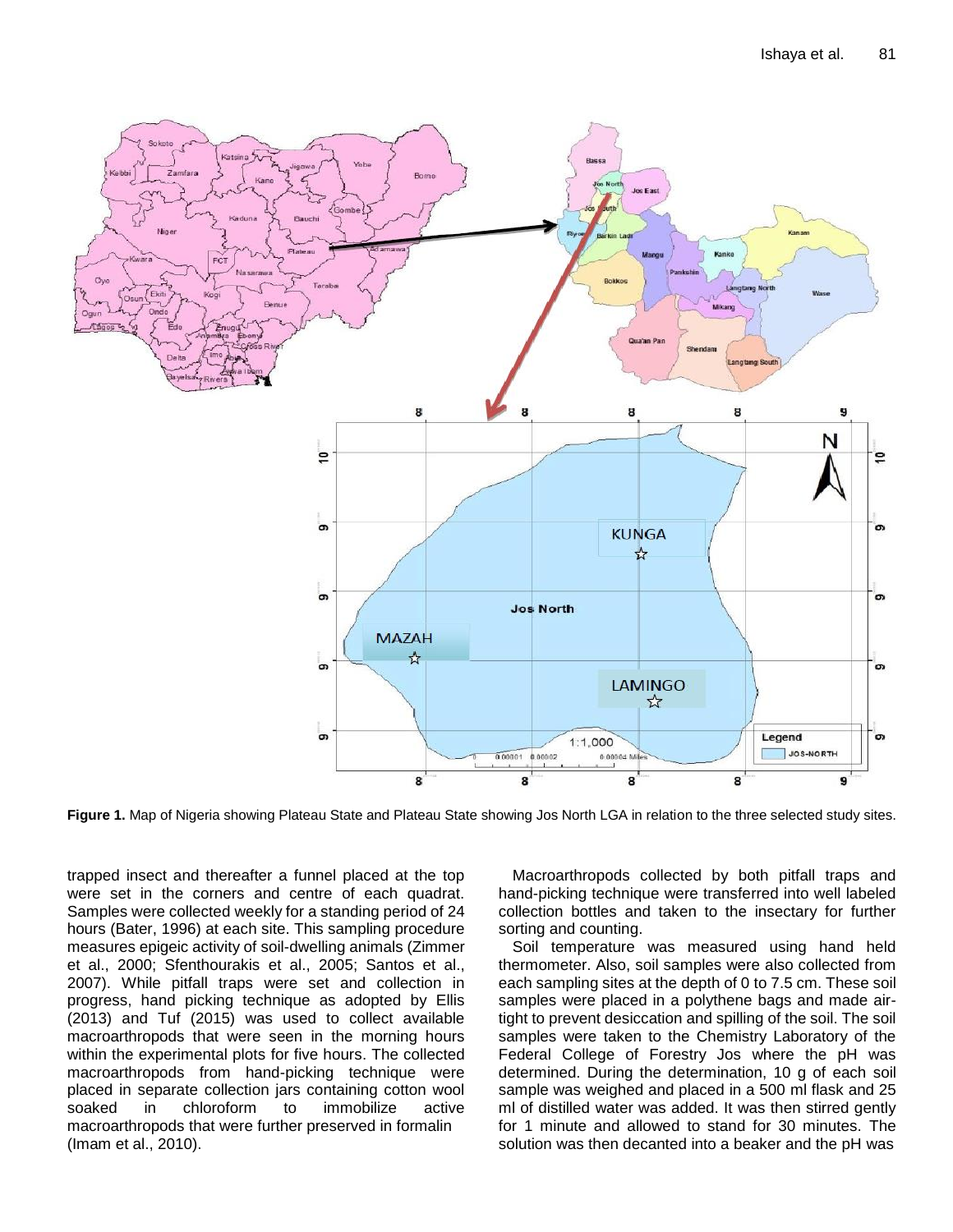

**Figure 1.** Map of Nigeria showing Plateau State and Plateau State showing Jos North LGA in relation to the three selected study sites.

trapped insect and thereafter a funnel placed at the top were set in the corners and centre of each quadrat. Samples were collected weekly for a standing period of 24 hours (Bater, 1996) at each site. This sampling procedure measures epigeic activity of soil-dwelling animals (Zimmer et al., 2000; Sfenthourakis et al., 2005; Santos et al., 2007). While pitfall traps were set and collection in progress, hand picking technique as adopted by Ellis (2013) and Tuf (2015) was used to collect available macroarthropods that were seen in the morning hours within the experimental plots for five hours. The collected macroarthropods from hand-picking technique were placed in separate collection jars containing cotton wool soaked in chloroform to immobilize active macroarthropods that were further preserved in formalin (Imam et al., 2010).

Macroarthropods collected by both pitfall traps and hand-picking technique were transferred into well labeled collection bottles and taken to the insectary for further sorting and counting.

Soil temperature was measured using hand held thermometer. Also, soil samples were also collected from each sampling sites at the depth of 0 to 7.5 cm. These soil samples were placed in a polythene bags and made airtight to prevent desiccation and spilling of the soil. The soil samples were taken to the Chemistry Laboratory of the Federal College of Forestry Jos where the pH was determined. During the determination, 10 g of each soil sample was weighed and placed in a 500 ml flask and 25 ml of distilled water was added. It was then stirred gently for 1 minute and allowed to stand for 30 minutes. The solution was then decanted into a beaker and the pH was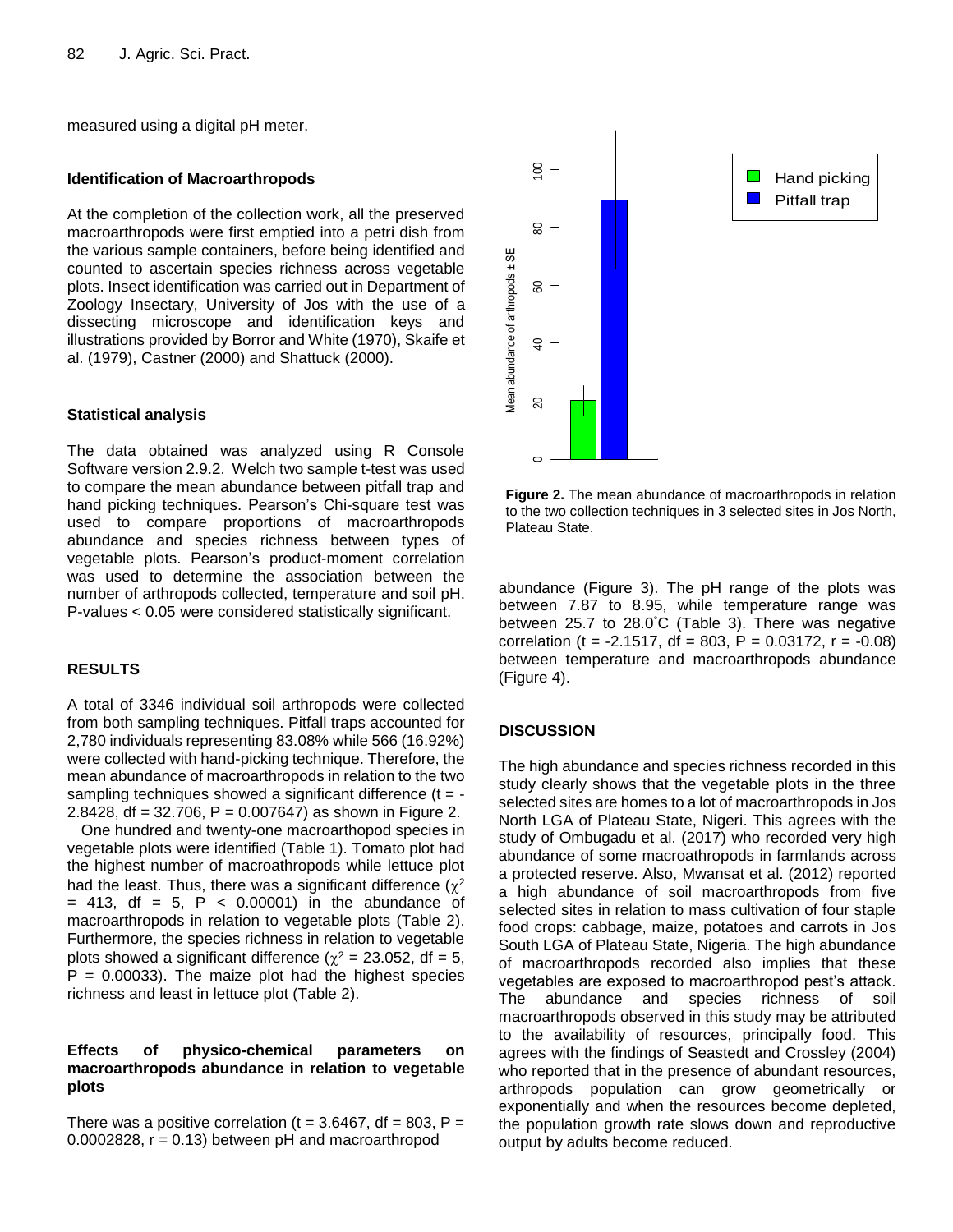measured using a digital pH meter.

#### **Identification of Macroarthropods**

At the completion of the collection work, all the preserved macroarthropods were first emptied into a petri dish from the various sample containers, before being identified and counted to ascertain species richness across vegetable plots. Insect identification was carried out in Department of Zoology Insectary, University of Jos with the use of a dissecting microscope and identification keys and illustrations provided by Borror and White (1970), Skaife et al. (1979), Castner (2000) and Shattuck (2000).

## **Statistical analysis**

The data obtained was analyzed using R Console Software version 2.9.2. Welch two sample t-test was used to compare the mean abundance between pitfall trap and hand picking techniques. Pearson's Chi-square test was used to compare proportions of macroarthropods abundance and species richness between types of vegetable plots. Pearson's product-moment correlation was used to determine the association between the number of arthropods collected, temperature and soil pH. P-values < 0.05 were considered statistically significant.

## **RESULTS**

A total of 3346 individual soil arthropods were collected from both sampling techniques. Pitfall traps accounted for 2,780 individuals representing 83.08% while 566 (16.92%) were collected with hand-picking technique. Therefore, the mean abundance of macroarthropods in relation to the two sampling techniques showed a significant difference  $(t = -1)$ 2.8428, df = 32.706, P = 0.007647) as shown in Figure 2.

One hundred and twenty-one macroarthopod species in vegetable plots were identified (Table 1). Tomato plot had the highest number of macroathropods while lettuce plot had the least. Thus, there was a significant difference ( $\chi^2$  $=$  413, df = 5, P < 0.00001) in the abundance of macroarthropods in relation to vegetable plots (Table 2). Furthermore, the species richness in relation to vegetable plots showed a significant difference ( $\chi^2$  = 23.052, df = 5,  $P = 0.00033$ ). The maize plot had the highest species richness and least in lettuce plot (Table 2).

#### **Effects of physico-chemical parameters on macroarthropods abundance in relation to vegetable plots**

There was a positive correlation ( $t = 3.6467$ , df = 803, P =  $0.0002828$ ,  $r = 0.13$ ) between pH and macroarthropod



**Figure 2.** The mean abundance of macroarthropods in relation to the two collection techniques in 3 selected sites in Jos North, Plateau State.

abundance (Figure 3). The pH range of the plots was between 7.87 to 8.95, while temperature range was between 25.7 to 28.0°C (Table 3). There was negative correlation (t = -2.1517, df = 803, P = 0.03172, r = -0.08) between temperature and macroarthropods abundance (Figure 4).

## **DISCUSSION**

The high abundance and species richness recorded in this study clearly shows that the vegetable plots in the three selected sites are homes to a lot of macroarthropods in Jos North LGA of Plateau State, Nigeri. This agrees with the study of Ombugadu et al. (2017) who recorded very high abundance of some macroathropods in farmlands across a protected reserve. Also, Mwansat et al. (2012) reported a high abundance of soil macroarthropods from five selected sites in relation to mass cultivation of four staple food crops: cabbage, maize, potatoes and carrots in Jos South LGA of Plateau State, Nigeria. The high abundance of macroarthropods recorded also implies that these vegetables are exposed to macroarthropod pest's attack. The abundance and species richness of soil macroarthropods observed in this study may be attributed to the availability of resources, principally food. This agrees with the findings of Seastedt and Crossley (2004) who reported that in the presence of abundant resources, arthropods population can grow geometrically or exponentially and when the resources become depleted, the population growth rate slows down and reproductive output by adults become reduced.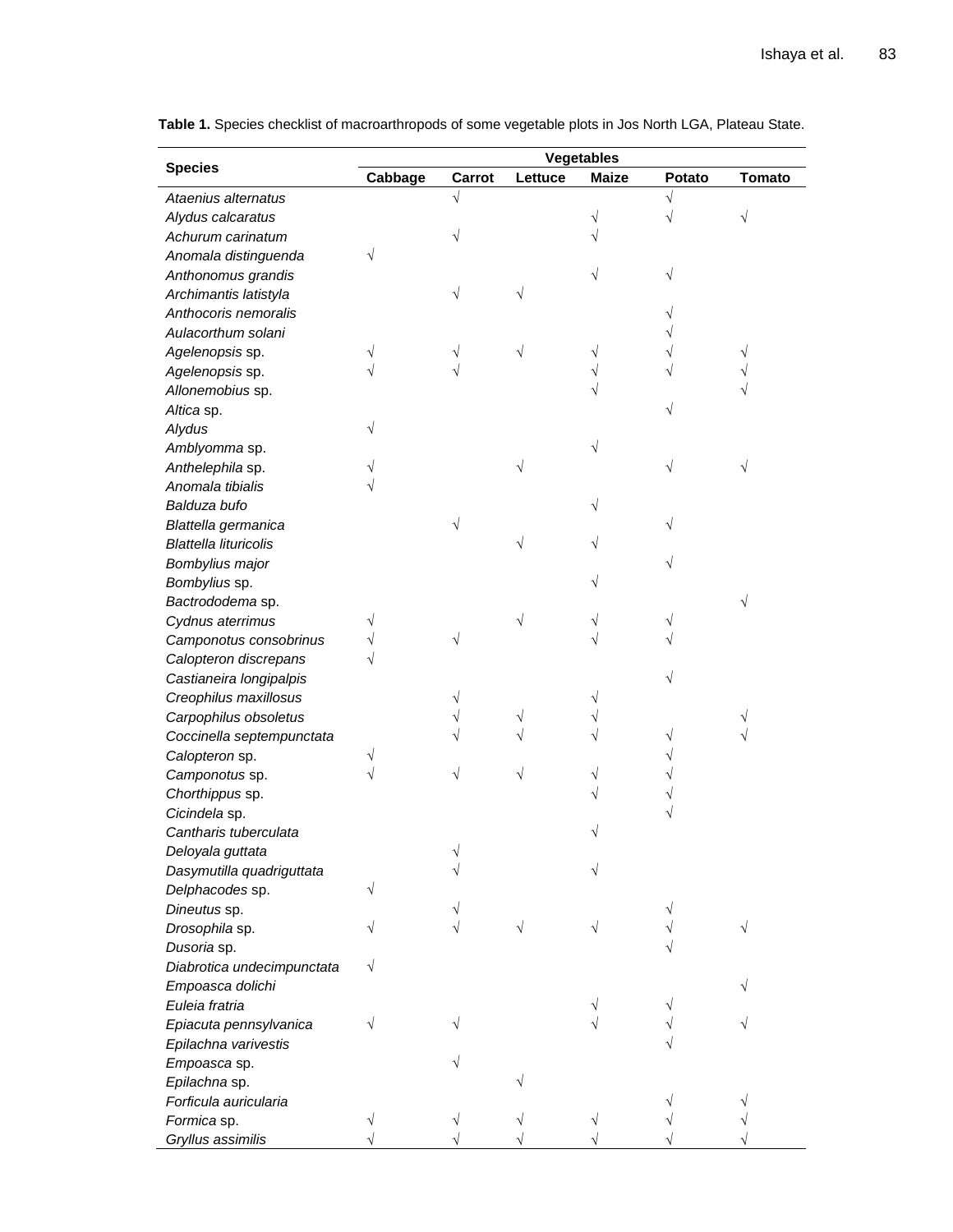**Table 1.** Species checklist of macroarthropods of some vegetable plots in Jos North LGA, Plateau State.

|                              |         |        |         | <b>Vegetables</b> |        |               |
|------------------------------|---------|--------|---------|-------------------|--------|---------------|
| <b>Species</b>               | Cabbage | Carrot | Lettuce | <b>Maize</b>      | Potato | <b>Tomato</b> |
| Ataenius alternatus          |         |        |         |                   |        |               |
| Alydus calcaratus            |         |        |         |                   |        |               |
| Achurum carinatum            |         |        |         |                   |        |               |
| Anomala distinguenda         |         |        |         |                   |        |               |
| Anthonomus grandis           |         |        |         |                   |        |               |
| Archimantis latistyla        |         |        |         |                   |        |               |
| Anthocoris nemoralis         |         |        |         |                   |        |               |
| Aulacorthum solani           |         |        |         |                   |        |               |
| Agelenopsis sp.              |         |        |         |                   |        |               |
| Agelenopsis sp.              |         |        |         |                   |        |               |
| Allonemobius sp.             |         |        |         |                   |        |               |
| Altica sp.                   |         |        |         |                   |        |               |
| Alydus                       |         |        |         |                   |        |               |
| Amblyomma sp.                |         |        |         |                   |        |               |
| Anthelephila sp.             |         |        |         |                   |        |               |
| Anomala tibialis             |         |        |         |                   |        |               |
| Balduza bufo                 |         |        |         |                   |        |               |
| Blattella germanica          |         |        |         |                   |        |               |
| <b>Blattella lituricolis</b> |         |        |         |                   |        |               |
| Bombylius major              |         |        |         |                   |        |               |
| Bombylius sp.                |         |        |         |                   |        |               |
|                              |         |        |         |                   |        |               |
| Bactrododema sp.             |         |        |         |                   |        |               |
| Cydnus aterrimus             |         |        |         |                   |        |               |
| Camponotus consobrinus       |         |        |         |                   |        |               |
| Calopteron discrepans        |         |        |         |                   |        |               |
| Castianeira longipalpis      |         |        |         |                   |        |               |
| Creophilus maxillosus        |         |        |         |                   |        |               |
| Carpophilus obsoletus        |         |        |         |                   |        |               |
| Coccinella septempunctata    |         |        |         |                   |        |               |
| Calopteron sp.               |         |        |         |                   |        |               |
| Camponotus sp.               |         |        |         |                   |        |               |
| Chorthippus sp.              |         |        |         |                   |        |               |
| Cicindela sp.                |         |        |         |                   |        |               |
| Cantharis tuberculata        |         |        |         |                   |        |               |
| Deloyala guttata             |         |        |         |                   |        |               |
| Dasymutilla quadriguttata    |         |        |         |                   |        |               |
| Delphacodes sp.              |         |        |         |                   |        |               |
| Dineutus sp.                 |         |        |         |                   |        |               |
| Drosophila sp.               |         |        |         |                   |        |               |
| Dusoria sp.                  |         |        |         |                   |        |               |
| Diabrotica undecimpunctata   |         |        |         |                   |        |               |
| Empoasca dolichi             |         |        |         |                   |        |               |
| Euleia fratria               |         |        |         |                   |        |               |
| Epiacuta pennsylvanica       |         |        |         |                   |        |               |
| Epilachna varivestis         |         |        |         |                   |        |               |
| Empoasca sp.                 |         |        |         |                   |        |               |
| Epilachna sp.                |         |        |         |                   |        |               |
| Forficula auricularia        |         |        |         |                   |        |               |
| Formica sp.                  |         |        |         |                   |        |               |
| Gryllus assimilis            |         |        |         |                   |        |               |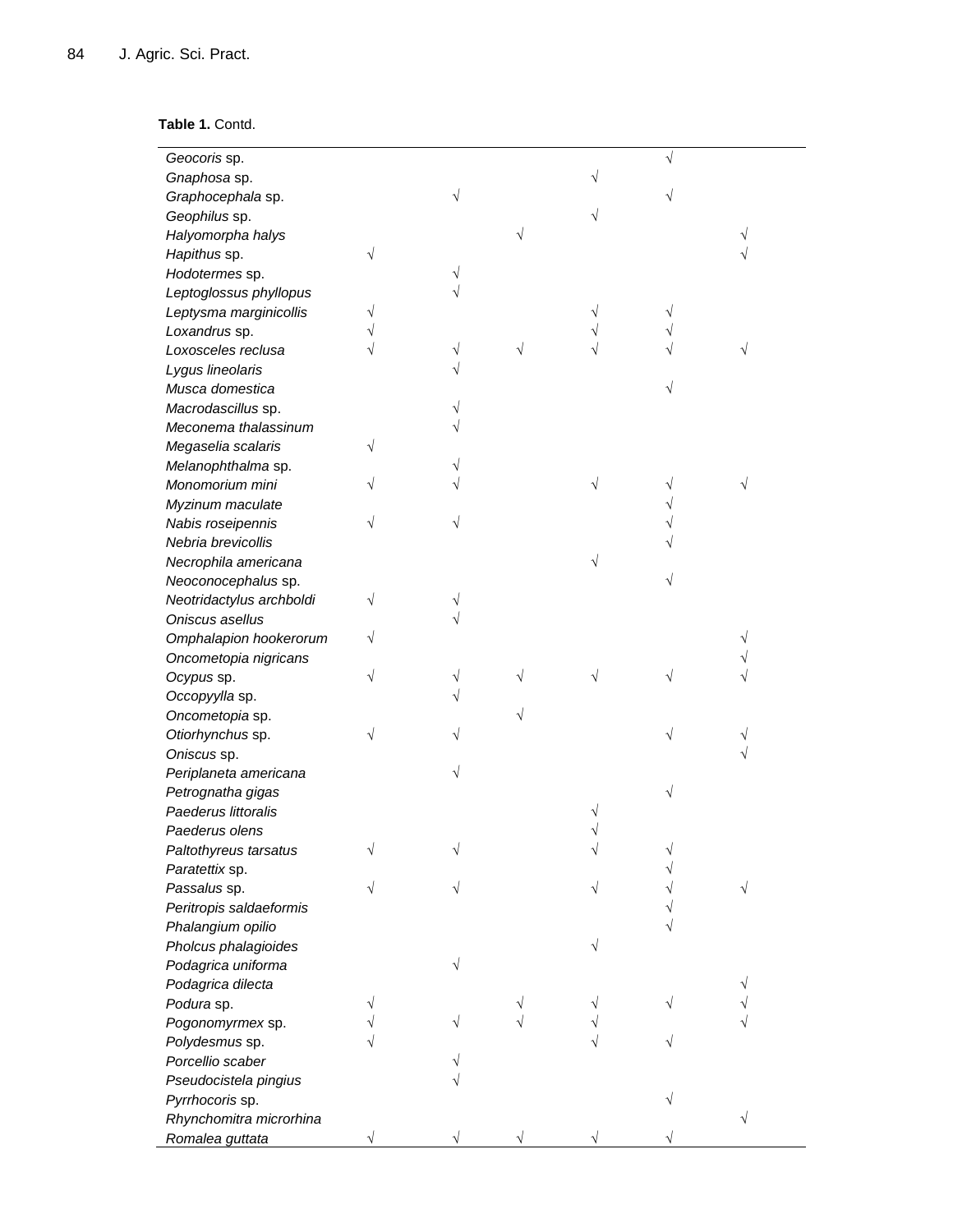# **Table 1.** Contd.

| Geocoris sp.             |  |   |  |  |
|--------------------------|--|---|--|--|
| Gnaphosa sp.             |  |   |  |  |
| Graphocephala sp.        |  |   |  |  |
| Geophilus sp.            |  |   |  |  |
| Halyomorpha halys        |  | V |  |  |
| Hapithus sp.             |  |   |  |  |
| Hodotermes sp.           |  |   |  |  |
| Leptoglossus phyllopus   |  |   |  |  |
| Leptysma marginicollis   |  |   |  |  |
| Loxandrus sp.            |  |   |  |  |
| Loxosceles reclusa       |  |   |  |  |
| Lygus lineolaris         |  |   |  |  |
| Musca domestica          |  |   |  |  |
| Macrodascillus sp.       |  |   |  |  |
| Meconema thalassinum     |  |   |  |  |
| Megaselia scalaris       |  |   |  |  |
| Melanophthalma sp.       |  |   |  |  |
| Monomorium mini          |  |   |  |  |
| Myzinum maculate         |  |   |  |  |
| Nabis roseipennis        |  |   |  |  |
| Nebria brevicollis       |  |   |  |  |
| Necrophila americana     |  |   |  |  |
| Neoconocephalus sp.      |  |   |  |  |
| Neotridactylus archboldi |  |   |  |  |
| Oniscus asellus          |  |   |  |  |
| Omphalapion hookerorum   |  |   |  |  |
| Oncometopia nigricans    |  |   |  |  |
| Ocypus sp.               |  | V |  |  |
| Occopyylla sp.           |  |   |  |  |
| Oncometopia sp.          |  | V |  |  |
| Otiorhynchus sp.         |  |   |  |  |
| Oniscus sp.              |  |   |  |  |
| Periplaneta americana    |  |   |  |  |
| Petrognatha gigas        |  |   |  |  |
| Paederus littoralis      |  |   |  |  |
| Paederus olens           |  |   |  |  |
| Paltothyreus tarsatus    |  |   |  |  |
| Paratettix sp.           |  |   |  |  |
| Passalus sp.             |  |   |  |  |
| Peritropis saldaeformis  |  |   |  |  |
| Phalangium opilio        |  |   |  |  |
| Pholcus phalagioides     |  |   |  |  |
| Podagrica uniforma       |  |   |  |  |
| Podagrica dilecta        |  |   |  |  |
| Podura sp.               |  |   |  |  |
| Pogonomyrmex sp.         |  |   |  |  |
| Polydesmus sp.           |  |   |  |  |
| Porcellio scaber         |  |   |  |  |
| Pseudocistela pingius    |  |   |  |  |
| Pyrrhocoris sp.          |  |   |  |  |
| Rhynchomitra microrhina  |  |   |  |  |
| Romalea guttata          |  |   |  |  |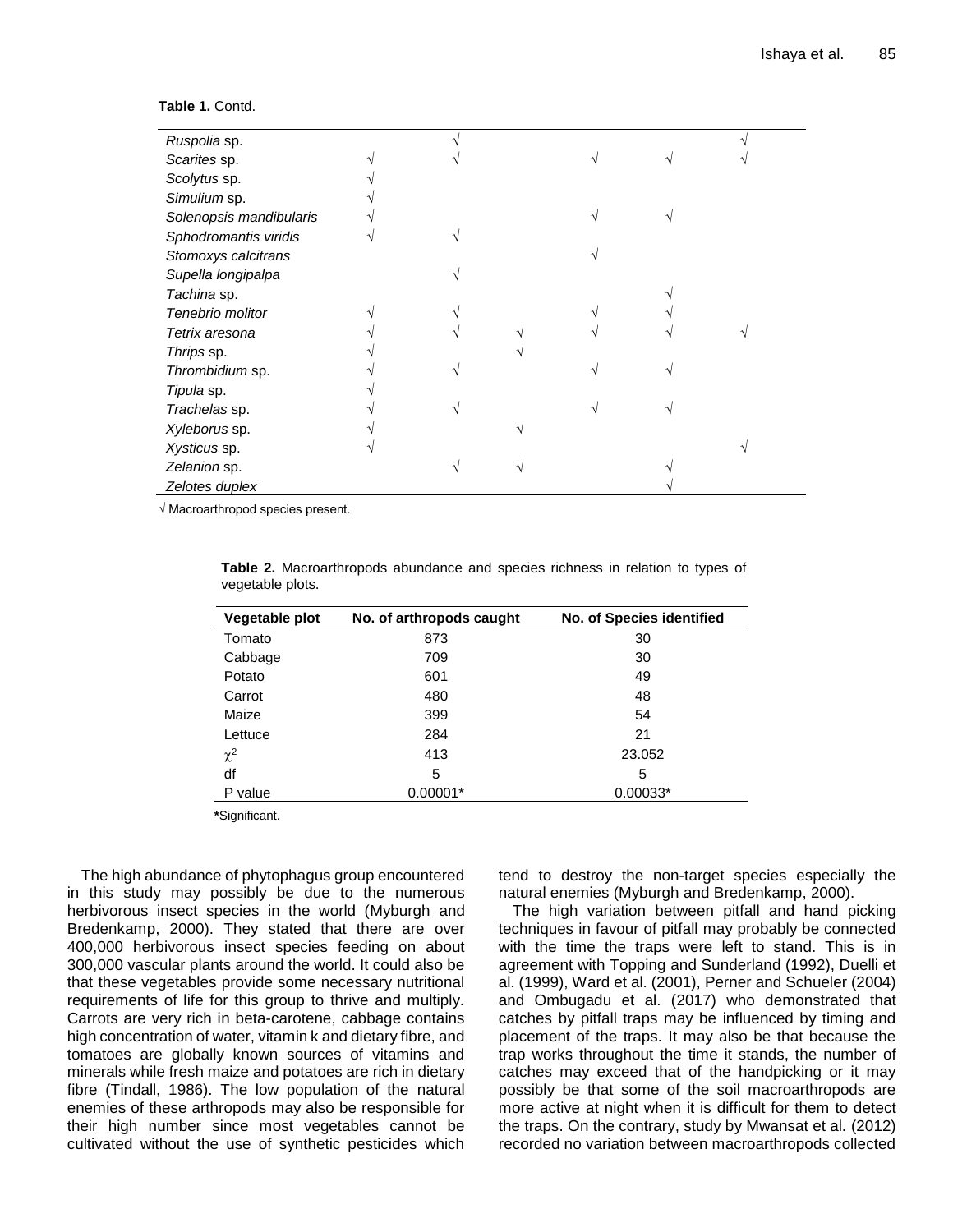| Ruspolia sp.            |  |  |  |  |
|-------------------------|--|--|--|--|
| Scarites sp.            |  |  |  |  |
| Scolytus sp.            |  |  |  |  |
| Simulium sp.            |  |  |  |  |
| Solenopsis mandibularis |  |  |  |  |
| Sphodromantis viridis   |  |  |  |  |
| Stomoxys calcitrans     |  |  |  |  |
| Supella longipalpa      |  |  |  |  |
| Tachina sp.             |  |  |  |  |
| Tenebrio molitor        |  |  |  |  |
| Tetrix aresona          |  |  |  |  |
| Thrips sp.              |  |  |  |  |
| Thrombidium sp.         |  |  |  |  |
| Tipula sp.              |  |  |  |  |
| Trachelas sp.           |  |  |  |  |
| Xyleborus sp.           |  |  |  |  |
| Xysticus sp.            |  |  |  |  |
| Zelanion sp.            |  |  |  |  |
| Zelotes duplex          |  |  |  |  |

**Table 1.** Contd.

√ Macroarthropod species present.

| Vegetable plot | No. of arthropods caught | <b>No. of Species identified</b> |
|----------------|--------------------------|----------------------------------|
| Tomato         | 873                      | 30                               |
| Cabbage        | 709                      | 30                               |
| Potato         | 601                      | 49                               |
| Carrot         | 480                      | 48                               |
| Maize          | 399                      | 54                               |
| Lettuce        | 284                      | 21                               |
| $\chi^2$       | 413                      | 23.052                           |
| df             | 5                        | 5                                |
| P value        | $0.00001*$               | $0.00033*$                       |
|                |                          |                                  |

**Table 2.** Macroarthropods abundance and species richness in relation to types of vegetable plots.

**\***Significant.

The high abundance of phytophagus group encountered in this study may possibly be due to the numerous herbivorous insect species in the world (Myburgh and Bredenkamp, 2000). They stated that there are over 400,000 herbivorous insect species feeding on about 300,000 vascular plants around the world. It could also be that these vegetables provide some necessary nutritional requirements of life for this group to thrive and multiply. Carrots are very rich in beta-carotene, cabbage contains high concentration of water, vitamin k and dietary fibre, and tomatoes are globally known sources of vitamins and minerals while fresh maize and potatoes are rich in dietary fibre (Tindall, 1986). The low population of the natural enemies of these arthropods may also be responsible for their high number since most vegetables cannot be cultivated without the use of synthetic pesticides which

tend to destroy the non-target species especially the natural enemies (Myburgh and Bredenkamp, 2000).

The high variation between pitfall and hand picking techniques in favour of pitfall may probably be connected with the time the traps were left to stand. This is in agreement with Topping and Sunderland (1992), Duelli et al. (1999), Ward et al. (2001), Perner and Schueler (2004) and Ombugadu et al. (2017) who demonstrated that catches by pitfall traps may be influenced by timing and placement of the traps. It may also be that because the trap works throughout the time it stands, the number of catches may exceed that of the handpicking or it may possibly be that some of the soil macroarthropods are more active at night when it is difficult for them to detect the traps. On the contrary, study by Mwansat et al. (2012) recorded no variation between macroarthropods collected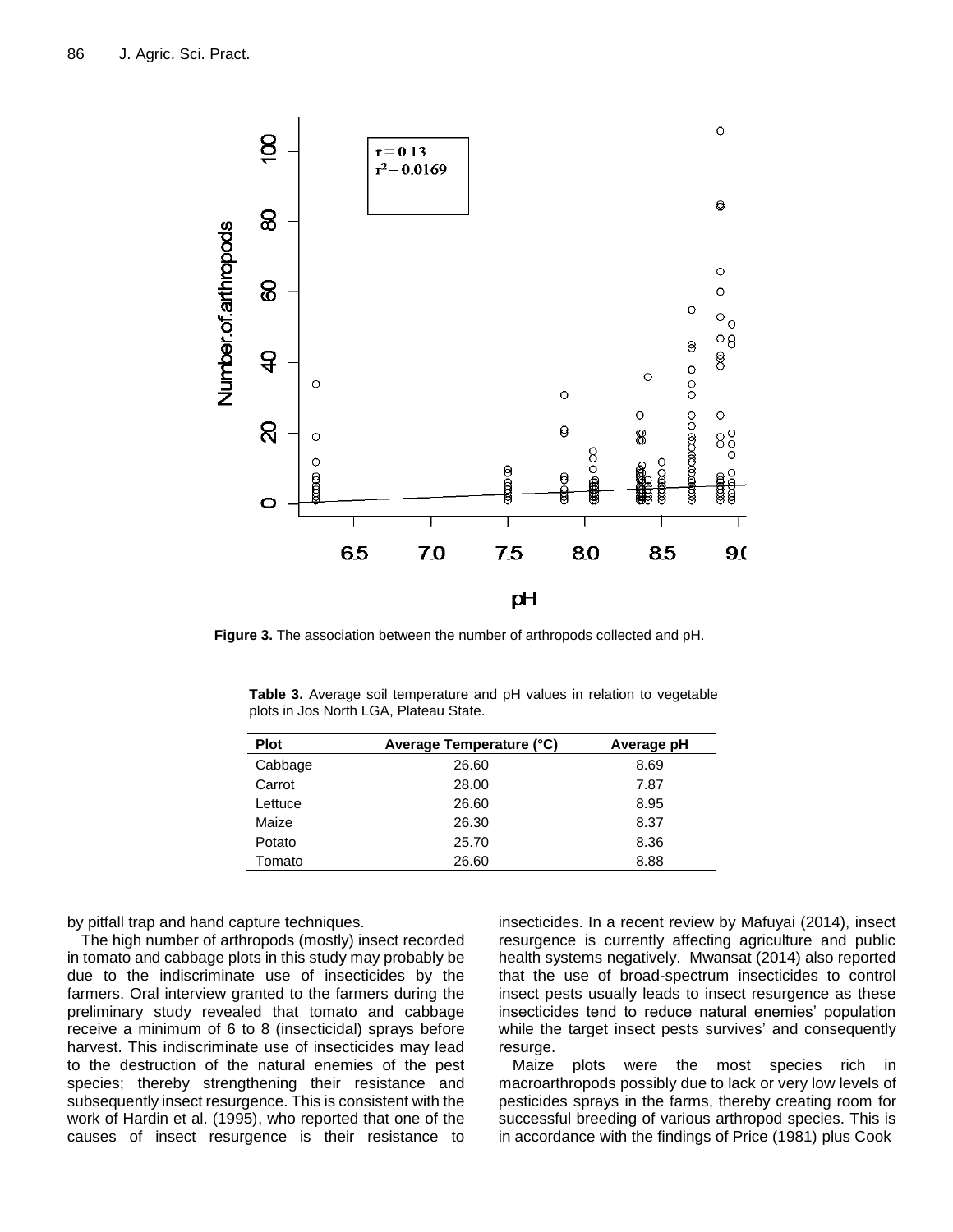

**Figure 3.** The association between the number of arthropods collected and pH.

| <b>Plot</b> | Average Temperature (°C) | Average pH |
|-------------|--------------------------|------------|
| Cabbage     | 26.60                    | 8.69       |
| Carrot      | 28.00                    | 7.87       |
| Lettuce     | 26.60                    | 8.95       |
| Maize       | 26.30                    | 8.37       |
| Potato      | 25.70                    | 8.36       |
| Tomato      | 26.60                    | 8.88       |

**Table 3.** Average soil temperature and pH values in relation to vegetable plots in Jos North LGA, Plateau State.

by pitfall trap and hand capture techniques.

The high number of arthropods (mostly) insect recorded in tomato and cabbage plots in this study may probably be due to the indiscriminate use of insecticides by the farmers. Oral interview granted to the farmers during the preliminary study revealed that tomato and cabbage receive a minimum of 6 to 8 (insecticidal) sprays before harvest. This indiscriminate use of insecticides may lead to the destruction of the natural enemies of the pest species; thereby strengthening their resistance and subsequently insect resurgence. This is consistent with the work of Hardin et al. (1995), who reported that one of the causes of insect resurgence is their resistance to

insecticides. In a recent review by Mafuyai (2014), insect resurgence is currently affecting agriculture and public health systems negatively. Mwansat (2014) also reported that the use of broad-spectrum insecticides to control insect pests usually leads to insect resurgence as these insecticides tend to reduce natural enemies' population while the target insect pests survives' and consequently resurge.

Maize plots were the most species rich in macroarthropods possibly due to lack or very low levels of pesticides sprays in the farms, thereby creating room for successful breeding of various arthropod species. This is in accordance with the findings of Price (1981) plus Cook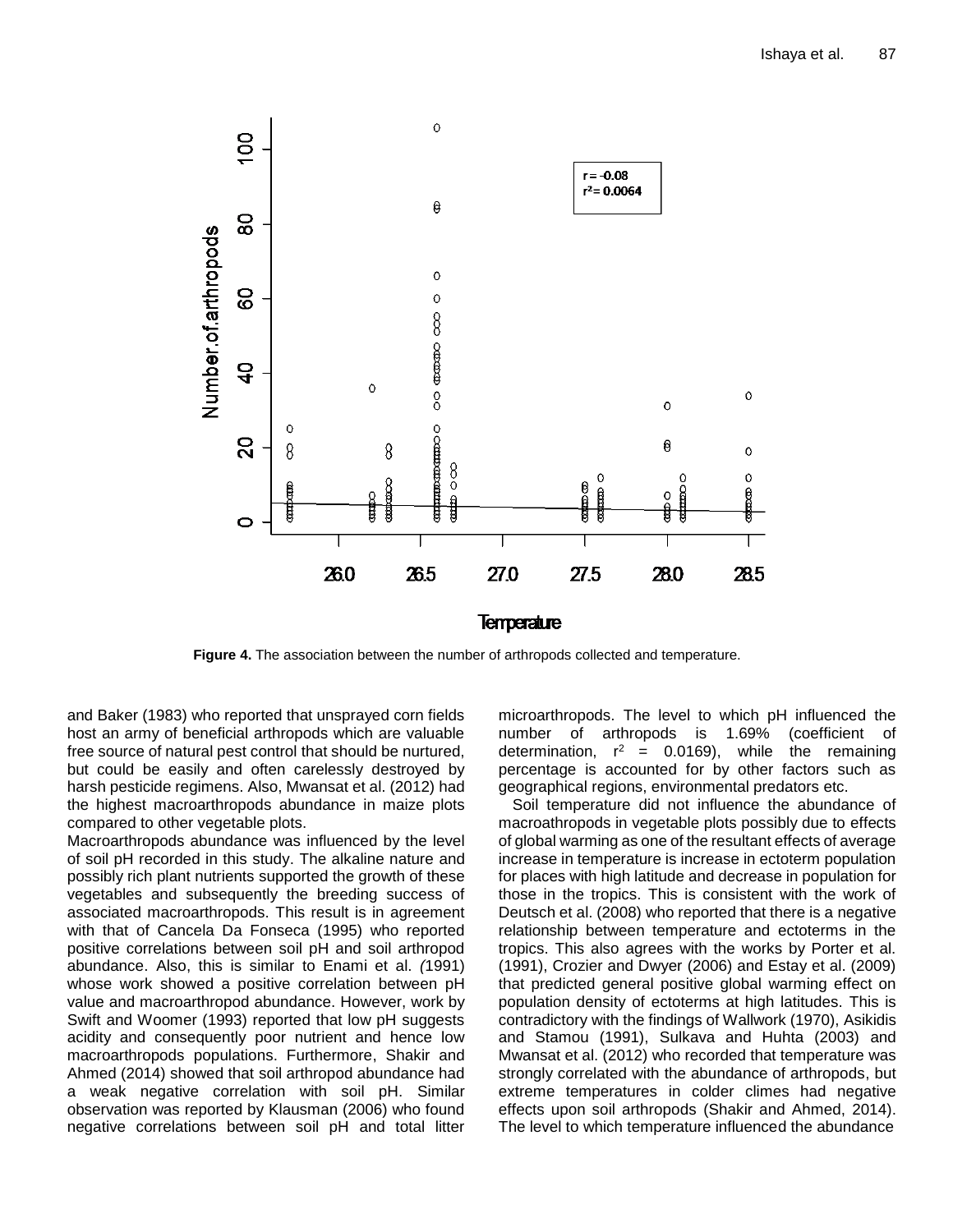

**Figure 4.** The association between the number of arthropods collected and temperature.

and Baker (1983) who reported that unsprayed corn fields host an army of beneficial arthropods which are valuable free source of natural pest control that should be nurtured, but could be easily and often carelessly destroyed by harsh pesticide regimens. Also, Mwansat et al. (2012) had the highest macroarthropods abundance in maize plots compared to other vegetable plots.

Macroarthropods abundance was influenced by the level of soil pH recorded in this study. The alkaline nature and possibly rich plant nutrients supported the growth of these vegetables and subsequently the breeding success of associated macroarthropods. This result is in agreement with that of Cancela Da Fonseca (1995) who reported positive correlations between soil pH and soil arthropod abundance. Also, this is similar to Enami et al. *(*1991) whose work showed a positive correlation between pH value and macroarthropod abundance. However, work by Swift and Woomer (1993) reported that low pH suggests acidity and consequently poor nutrient and hence low macroarthropods populations. Furthermore, Shakir and Ahmed (2014) showed that soil arthropod abundance had a weak negative correlation with soil pH. Similar observation was reported by Klausman (2006) who found negative correlations between soil pH and total litter

microarthropods. The level to which pH influenced the number of arthropods is 1.69% (coefficient of determination,  $r^2$  = 0.0169), while the remaining percentage is accounted for by other factors such as geographical regions, environmental predators etc.

Soil temperature did not influence the abundance of macroathropods in vegetable plots possibly due to effects of global warming as one of the resultant effects of average increase in temperature is increase in ectoterm population for places with high latitude and decrease in population for those in the tropics. This is consistent with the work of Deutsch et al. (2008) who reported that there is a negative relationship between temperature and ectoterms in the tropics. This also agrees with the works by Porter et al. (1991), Crozier and Dwyer (2006) and Estay et al. (2009) that predicted general positive global warming effect on population density of ectoterms at high latitudes. This is contradictory with the findings of Wallwork (1970), Asikidis and Stamou (1991), Sulkava and Huhta (2003) and Mwansat et al. (2012) who recorded that temperature was strongly correlated with the abundance of arthropods, but extreme temperatures in colder climes had negative effects upon soil arthropods (Shakir and Ahmed, 2014). The level to which temperature influenced the abundance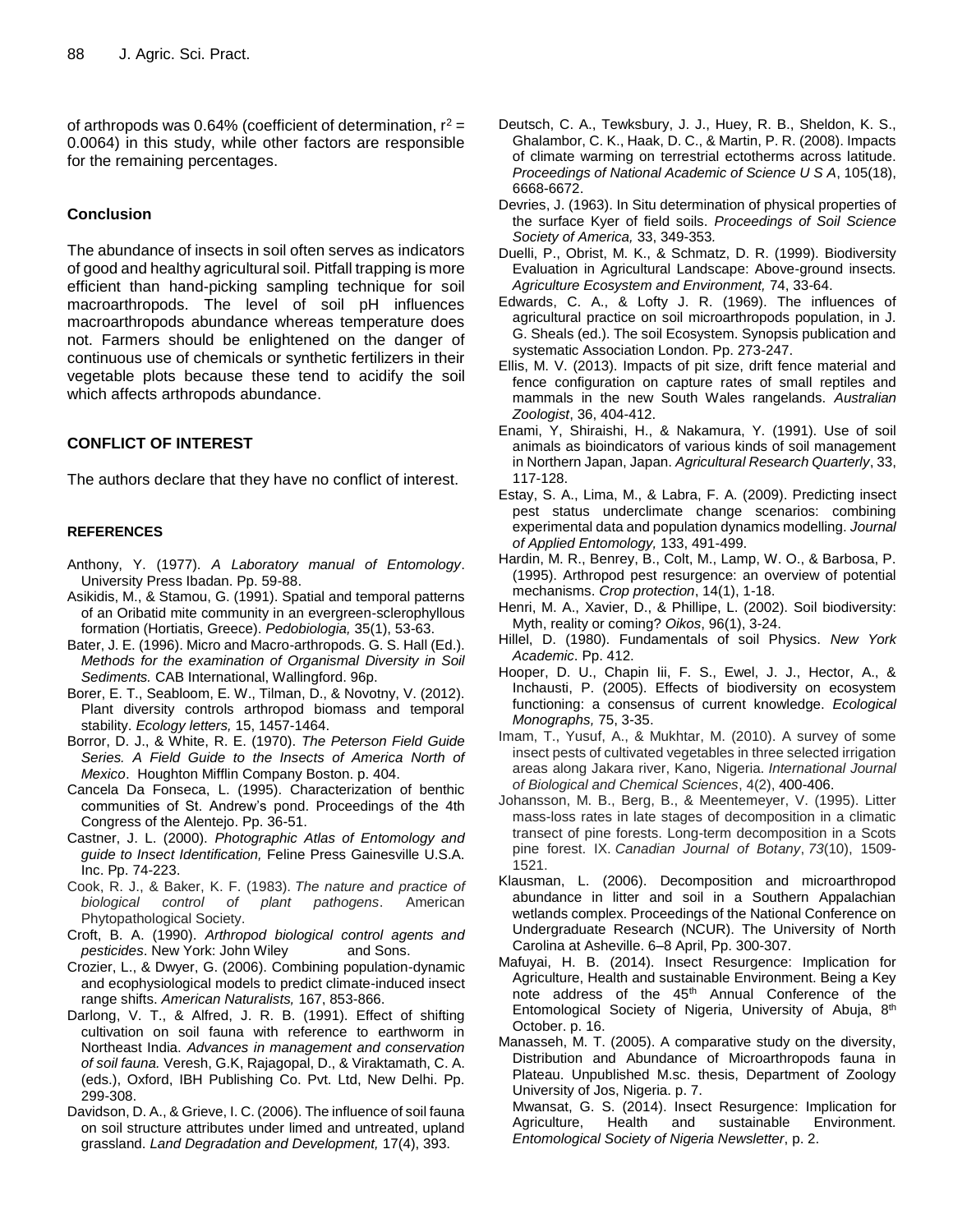of arthropods was 0.64% (coefficient of determination,  $r^2 =$ 0.0064) in this study, while other factors are responsible for the remaining percentages.

## **Conclusion**

The abundance of insects in soil often serves as indicators of good and healthy agricultural soil. Pitfall trapping is more efficient than hand-picking sampling technique for soil macroarthropods. The level of soil pH influences macroarthropods abundance whereas temperature does not. Farmers should be enlightened on the danger of continuous use of chemicals or synthetic fertilizers in their vegetable plots because these tend to acidify the soil which affects arthropods abundance.

## **CONFLICT OF INTEREST**

The authors declare that they have no conflict of interest.

#### **REFERENCES**

- Anthony, Y. (1977). *A Laboratory manual of Entomology*. University Press Ibadan. Pp. 59-88.
- Asikidis, M., & Stamou, G. (1991). Spatial and temporal patterns of an Oribatid mite community in an evergreen-sclerophyllous formation (Hortiatis, Greece). *Pedobiologia,* 35(1), 53-63.
- Bater, J. E. (1996). Micro and Macro-arthropods. G. S. Hall (Ed.). *Methods for the examination of Organismal Diversity in Soil Sediments.* CAB International, Wallingford. 96p.
- Borer, E. T., Seabloom, E. W., Tilman, D., & Novotny, V. (2012). Plant diversity controls arthropod biomass and temporal stability. *Ecology letters,* 15, 1457-1464.
- Borror, D. J., & White, R. E. (1970). *The Peterson Field Guide Series. A Field Guide to the Insects of America North of Mexico*. Houghton Mifflin Company Boston. p. 404.
- Cancela Da Fonseca, L. (1995). Characterization of benthic communities of St. Andrew's pond. Proceedings of the 4th Congress of the Alentejo. Pp. 36-51.
- Castner, J. L. (2000). *Photographic Atlas of Entomology and guide to Insect Identification,* Feline Press Gainesville U.S.A. Inc. Pp. 74-223.
- Cook, R. J., & Baker, K. F. (1983). *The nature and practice of biological control of plant pathogens*. American Phytopathological Society.
- Croft, B. A. (1990). *Arthropod biological control agents and pesticides*. New York: John Wiley and Sons.
- Crozier, L., & Dwyer, G. (2006). Combining population-dynamic and ecophysiological models to predict climate-induced insect range shifts. *American Naturalists,* 167, 853-866.
- Darlong, V. T., & Alfred, J. R. B. (1991). Effect of shifting cultivation on soil fauna with reference to earthworm in Northeast India. *Advances in management and conservation of soil fauna.* Veresh, G.K, Rajagopal, D., & Viraktamath, C. A. (eds.), Oxford, IBH Publishing Co. Pvt. Ltd, New Delhi. Pp. 299-308.
- Davidson, D. A., & Grieve, I. C. (2006). The influence of soil fauna on soil structure attributes under limed and untreated, upland grassland. *Land Degradation and Development,* 17(4), 393.
- Deutsch, C. A., Tewksbury, J. J., Huey, R. B., Sheldon, K. S., Ghalambor, C. K., Haak, D. C., & Martin, P. R. (2008). Impacts of climate warming on terrestrial ectotherms across latitude. *Proceedings of National Academic of Science U S A*, 105(18), 6668-6672.
- Devries, J. (1963). In Situ determination of physical properties of the surface Kyer of field soils. *Proceedings of Soil Science Society of America,* 33, 349-353*.*
- Duelli, P., Obrist, M. K., & Schmatz, D. R. (1999). Biodiversity Evaluation in Agricultural Landscape: Above-ground insects*. Agriculture Ecosystem and Environment,* 74, 33-64.
- Edwards, C. A., & Lofty J. R. (1969). The influences of agricultural practice on soil microarthropods population, in J. G. Sheals (ed.). The soil Ecosystem. Synopsis publication and systematic Association London. Pp. 273-247.
- Ellis, M. V. (2013). Impacts of pit size, drift fence material and fence configuration on capture rates of small reptiles and mammals in the new South Wales rangelands. *Australian Zoologist*, 36, 404-412.
- Enami, Y, Shiraishi, H., & Nakamura, Y. (1991). Use of soil animals as bioindicators of various kinds of soil management in Northern Japan, Japan. *Agricultural Research Quarterly*, 33, 117-128.
- Estay, S. A., Lima, M., & Labra, F. A. (2009). Predicting insect pest status underclimate change scenarios: combining experimental data and population dynamics modelling. *Journal of Applied Entomology,* 133, 491-499.
- Hardin, M. R., Benrey, B., Colt, M., Lamp, W. O., & Barbosa, P. (1995). Arthropod pest resurgence: an overview of potential mechanisms. *Crop protection*, 14(1), 1-18.
- Henri, M. A., Xavier, D., & Phillipe, L. (2002). Soil biodiversity: Myth, reality or coming? *Oikos*, 96(1), 3-24.
- Hillel, D. (1980). Fundamentals of soil Physics. *New York Academic*. Pp. 412.
- Hooper, D. U., Chapin Iii, F. S., Ewel, J. J., Hector, A., & Inchausti, P. (2005). Effects of biodiversity on ecosystem functioning: a consensus of current knowledge. *Ecological Monographs,* 75, 3-35.
- Imam, T., Yusuf, A., & Mukhtar, M. (2010). A survey of some insect pests of cultivated vegetables in three selected irrigation areas along Jakara river, Kano, Nigeria. *International Journal of Biological and Chemical Sciences*, 4(2), 400-406.
- Johansson, M. B., Berg, B., & Meentemeyer, V. (1995). Litter mass-loss rates in late stages of decomposition in a climatic transect of pine forests. Long-term decomposition in a Scots pine forest. IX. *Canadian Journal of Botany*, *73*(10), 1509- 1521.
- Klausman, L. (2006). Decomposition and microarthropod abundance in litter and soil in a Southern Appalachian wetlands complex. Proceedings of the National Conference on Undergraduate Research (NCUR). The University of North Carolina at Asheville. 6–8 April, Pp. 300-307.
- Mafuyai, H. B. (2014). Insect Resurgence: Implication for Agriculture, Health and sustainable Environment. Being a Key note address of the 45<sup>th</sup> Annual Conference of the Entomological Society of Nigeria, University of Abuja, 8<sup>th</sup> October. p. 16.
- Manasseh, M. T. (2005). A comparative study on the diversity, Distribution and Abundance of Microarthropods fauna in Plateau. Unpublished M.sc. thesis, Department of Zoology University of Jos, Nigeria. p. 7.
	- Mwansat, G. S. (2014). Insect Resurgence: Implication for Agriculture, Health and sustainable Environment*. Entomological Society of Nigeria Newsletter*, p. 2.